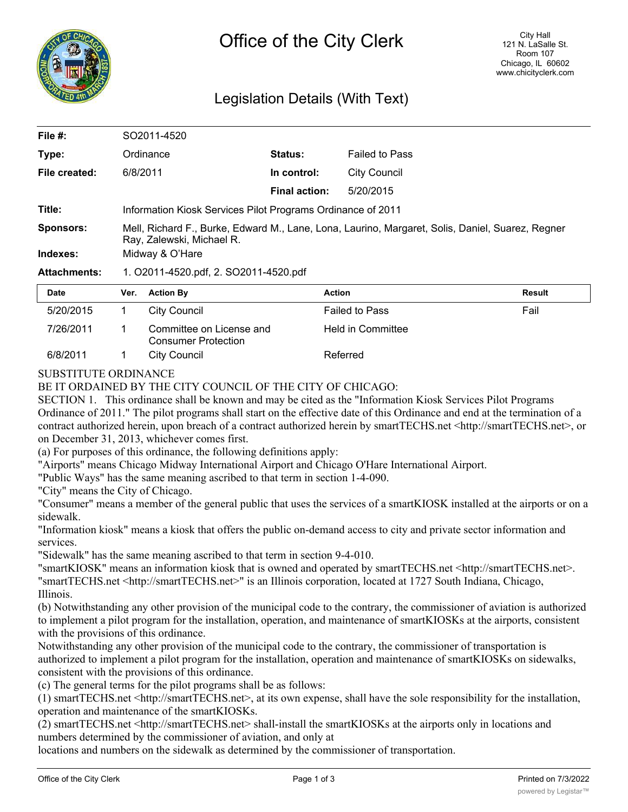

## Legislation Details (With Text)

| File #:             | SO2011-4520                                                                                                                   |                      |                       |  |  |
|---------------------|-------------------------------------------------------------------------------------------------------------------------------|----------------------|-----------------------|--|--|
| Type:               | Ordinance                                                                                                                     | <b>Status:</b>       | <b>Failed to Pass</b> |  |  |
| File created:       | 6/8/2011                                                                                                                      | In control:          | City Council          |  |  |
|                     |                                                                                                                               | <b>Final action:</b> | 5/20/2015             |  |  |
| Title:              | Information Kiosk Services Pilot Programs Ordinance of 2011                                                                   |                      |                       |  |  |
| <b>Sponsors:</b>    | Mell, Richard F., Burke, Edward M., Lane, Lona, Laurino, Margaret, Solis, Daniel, Suarez, Regner<br>Ray, Zalewski, Michael R. |                      |                       |  |  |
| Indexes:            | Midway & O'Hare                                                                                                               |                      |                       |  |  |
| <b>Attachments:</b> | 1. O2011-4520.pdf, 2. SO2011-4520.pdf                                                                                         |                      |                       |  |  |
|                     |                                                                                                                               |                      |                       |  |  |

| Date      | Ver. | <b>Action By</b>                                       | <b>Action</b>         | Result |
|-----------|------|--------------------------------------------------------|-----------------------|--------|
| 5/20/2015 |      | City Council                                           | <b>Failed to Pass</b> | Fail   |
| 7/26/2011 |      | Committee on License and<br><b>Consumer Protection</b> | Held in Committee     |        |
| 6/8/2011  |      | City Council                                           | Referred              |        |

SUBSTITUTE ORDINANCE

## BE IT ORDAINED BY THE CITY COUNCIL OF THE CITY OF CHICAGO:

SECTION 1. This ordinance shall be known and may be cited as the "Information Kiosk Services Pilot Programs Ordinance of 2011." The pilot programs shall start on the effective date of this Ordinance and end at the termination of a contract authorized herein, upon breach of a contract authorized herein by smartTECHS.net <http://smartTECHS.net>, or on December 31, 2013, whichever comes first.

(a) For purposes of this ordinance, the following definitions apply:

"Airports" means Chicago Midway International Airport and Chicago O'Hare International Airport.

"Public Ways" has the same meaning ascribed to that term in section 1-4-090.

"City" means the City of Chicago.

"Consumer" means a member of the general public that uses the services of a smartKIOSK installed at the airports or on a sidewalk.

"Information kiosk" means a kiosk that offers the public on-demand access to city and private sector information and services.

"Sidewalk" has the same meaning ascribed to that term in section 9-4-010.

"smartKIOSK" means an information kiosk that is owned and operated by smartTECHS.net <http://smartTECHS.net>. "smartTECHS.net <http://smartTECHS.net>" is an Illinois corporation, located at 1727 South Indiana, Chicago, Illinois.

(b) Notwithstanding any other provision of the municipal code to the contrary, the commissioner of aviation is authorized to implement a pilot program for the installation, operation, and maintenance of smartKIOSKs at the airports, consistent with the provisions of this ordinance.

Notwithstanding any other provision of the municipal code to the contrary, the commissioner of transportation is authorized to implement a pilot program for the installation, operation and maintenance of smartKIOSKs on sidewalks, consistent with the provisions of this ordinance.

(c) The general terms for the pilot programs shall be as follows:

(1) smartTECHS.net <http://smartTECHS.net>, at its own expense, shall have the sole responsibility for the installation, operation and maintenance of the smartKIOSKs.

(2) smartTECHS.net <http://smartTECHS.net> shall-install the smartKIOSKs at the airports only in locations and numbers determined by the commissioner of aviation, and only at

locations and numbers on the sidewalk as determined by the commissioner of transportation.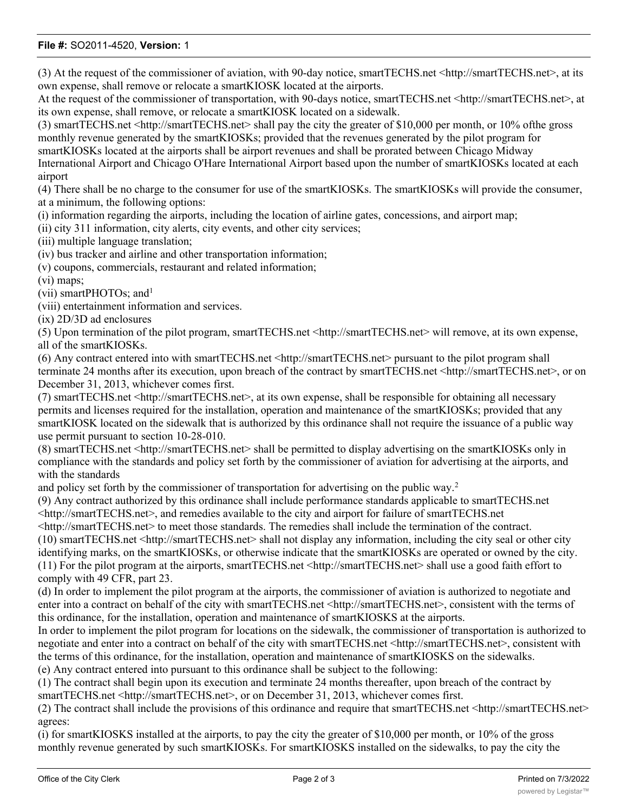## **File #:** SO2011-4520, **Version:** 1

(3) At the request of the commissioner of aviation, with 90-day notice, smartTECHS.net <http://smartTECHS.net>, at its own expense, shall remove or relocate a smartKIOSK located at the airports.

At the request of the commissioner of transportation, with 90-days notice, smartTECHS.net <http://smartTECHS.net>, at its own expense, shall remove, or relocate a smartKIOSK located on a sidewalk.

(3) smartTECHS.net <http://smartTECHS.net> shall pay the city the greater of \$10,000 per month, or 10% ofthe gross monthly revenue generated by the smartKIOSKs; provided that the revenues generated by the pilot program for smartKIOSKs located at the airports shall be airport revenues and shall be prorated between Chicago Midway International Airport and Chicago O'Hare International Airport based upon the number of smartKIOSKs located at each airport

(4) There shall be no charge to the consumer for use of the smartKIOSKs. The smartKIOSKs will provide the consumer, at a minimum, the following options:

(i) information regarding the airports, including the location of airline gates, concessions, and airport map;

(ii) city 311 information, city alerts, city events, and other city services;

(iii) multiple language translation;

(iv) bus tracker and airline and other transportation information;

(v) coupons, commercials, restaurant and related information;

(vi) maps;

(vii) smartPHOTOs; and<sup>1</sup>

(viii) entertainment information and services.

(ix) 2D/3D ad enclosures

(5) Upon termination of the pilot program, smartTECHS.net <http://smartTECHS.net> will remove, at its own expense, all of the smartKIOSKs.

(6) Any contract entered into with smartTECHS.net <http://smartTECHS.net> pursuant to the pilot program shall terminate 24 months after its execution, upon breach of the contract by smartTECHS.net <http://smartTECHS.net>, or on December 31, 2013, whichever comes first.

(7) smartTECHS.net <http://smartTECHS.net>, at its own expense, shall be responsible for obtaining all necessary permits and licenses required for the installation, operation and maintenance of the smartKIOSKs; provided that any smartKIOSK located on the sidewalk that is authorized by this ordinance shall not require the issuance of a public way use permit pursuant to section 10-28-010.

(8) smartTECHS.net <http://smartTECHS.net> shall be permitted to display advertising on the smartKIOSKs only in compliance with the standards and policy set forth by the commissioner of aviation for advertising at the airports, and with the standards

and policy set forth by the commissioner of transportation for advertising on the public way.<sup>2</sup>

(9) Any contract authorized by this ordinance shall include performance standards applicable to smartTECHS.net <http://smartTECHS.net>, and remedies available to the city and airport for failure of smartTECHS.net

<http://smartTECHS.net> to meet those standards. The remedies shall include the termination of the contract.

(10) smartTECHS.net <http://smartTECHS.net> shall not display any information, including the city seal or other city identifying marks, on the smartKIOSKs, or otherwise indicate that the smartKIOSKs are operated or owned by the city. (11) For the pilot program at the airports, smartTECHS.net <http://smartTECHS.net> shall use a good faith effort to comply with 49 CFR, part 23.

(d) In order to implement the pilot program at the airports, the commissioner of aviation is authorized to negotiate and enter into a contract on behalf of the city with smartTECHS.net <http://smartTECHS.net>, consistent with the terms of this ordinance, for the installation, operation and maintenance of smartKIOSKS at the airports.

In order to implement the pilot program for locations on the sidewalk, the commissioner of transportation is authorized to negotiate and enter into a contract on behalf of the city with smartTECHS.net <http://smartTECHS.net>, consistent with the terms of this ordinance, for the installation, operation and maintenance of smartKIOSKS on the sidewalks. (e) Any contract entered into pursuant to this ordinance shall be subject to the following:

(1) The contract shall begin upon its execution and terminate 24 months thereafter, upon breach of the contract by smartTECHS.net <http://smartTECHS.net>, or on December 31, 2013, whichever comes first.

(2) The contract shall include the provisions of this ordinance and require that smartTECHS.net <http://smartTECHS.net> agrees:

(i) for smartKIOSKS installed at the airports, to pay the city the greater of \$10,000 per month, or 10% of the gross monthly revenue generated by such smartKIOSKs. For smartKIOSKS installed on the sidewalks, to pay the city the